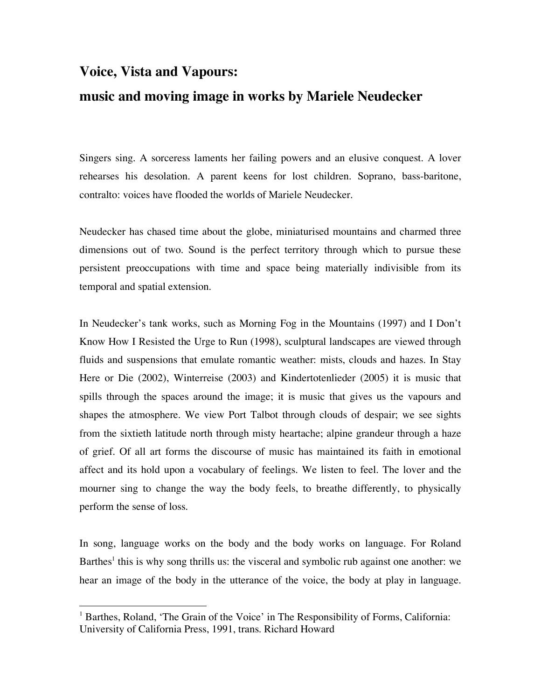## **Voice, Vista and Vapours: music and moving image in works by Mariele Neudecker**

Singers sing. A sorceress laments her failing powers and an elusive conquest. A lover rehearses his desolation. A parent keens for lost children. Soprano, bass-baritone, contralto: voices have flooded the worlds of Mariele Neudecker.

Neudecker has chased time about the globe, miniaturised mountains and charmed three dimensions out of two. Sound is the perfect territory through which to pursue these persistent preoccupations with time and space being materially indivisible from its temporal and spatial extension.

In Neudecker's tank works, such as Morning Fog in the Mountains (1997) and I Don't Know How I Resisted the Urge to Run (1998), sculptural landscapes are viewed through fluids and suspensions that emulate romantic weather: mists, clouds and hazes. In Stay Here or Die (2002), Winterreise (2003) and Kindertotenlieder (2005) it is music that spills through the spaces around the image; it is music that gives us the vapours and shapes the atmosphere. We view Port Talbot through clouds of despair; we see sights from the sixtieth latitude north through misty heartache; alpine grandeur through a haze of grief. Of all art forms the discourse of music has maintained its faith in emotional affect and its hold upon a vocabulary of feelings. We listen to feel. The lover and the mourner sing to change the way the body feels, to breathe differently, to physically perform the sense of loss.

In song, language works on the body and the body works on language. For Roland Barthes<sup>1</sup> this is why song thrills us: the visceral and symbolic rub against one another: we hear an image of the body in the utterance of the voice, the body at play in language.

 $\frac{1}{1}$  $<sup>1</sup>$  Barthes, Roland, 'The Grain of the Voice' in The Responsibility of Forms, California:</sup> University of California Press, 1991, trans. Richard Howard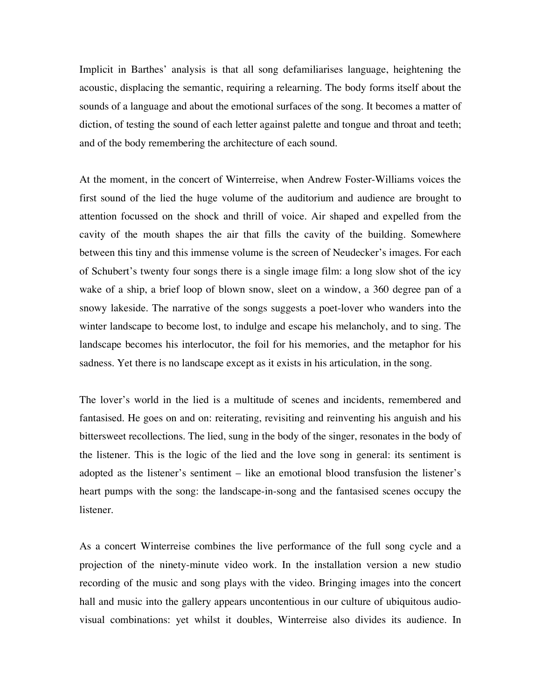Implicit in Barthes' analysis is that all song defamiliarises language, heightening the acoustic, displacing the semantic, requiring a relearning. The body forms itself about the sounds of a language and about the emotional surfaces of the song. It becomes a matter of diction, of testing the sound of each letter against palette and tongue and throat and teeth; and of the body remembering the architecture of each sound.

At the moment, in the concert of Winterreise, when Andrew Foster-Williams voices the first sound of the lied the huge volume of the auditorium and audience are brought to attention focussed on the shock and thrill of voice. Air shaped and expelled from the cavity of the mouth shapes the air that fills the cavity of the building. Somewhere between this tiny and this immense volume is the screen of Neudecker's images. For each of Schubert's twenty four songs there is a single image film: a long slow shot of the icy wake of a ship, a brief loop of blown snow, sleet on a window, a 360 degree pan of a snowy lakeside. The narrative of the songs suggests a poet-lover who wanders into the winter landscape to become lost, to indulge and escape his melancholy, and to sing. The landscape becomes his interlocutor, the foil for his memories, and the metaphor for his sadness. Yet there is no landscape except as it exists in his articulation, in the song.

The lover's world in the lied is a multitude of scenes and incidents, remembered and fantasised. He goes on and on: reiterating, revisiting and reinventing his anguish and his bittersweet recollections. The lied, sung in the body of the singer, resonates in the body of the listener. This is the logic of the lied and the love song in general: its sentiment is adopted as the listener's sentiment – like an emotional blood transfusion the listener's heart pumps with the song: the landscape-in-song and the fantasised scenes occupy the listener.

As a concert Winterreise combines the live performance of the full song cycle and a projection of the ninety-minute video work. In the installation version a new studio recording of the music and song plays with the video. Bringing images into the concert hall and music into the gallery appears uncontentious in our culture of ubiquitous audiovisual combinations: yet whilst it doubles, Winterreise also divides its audience. In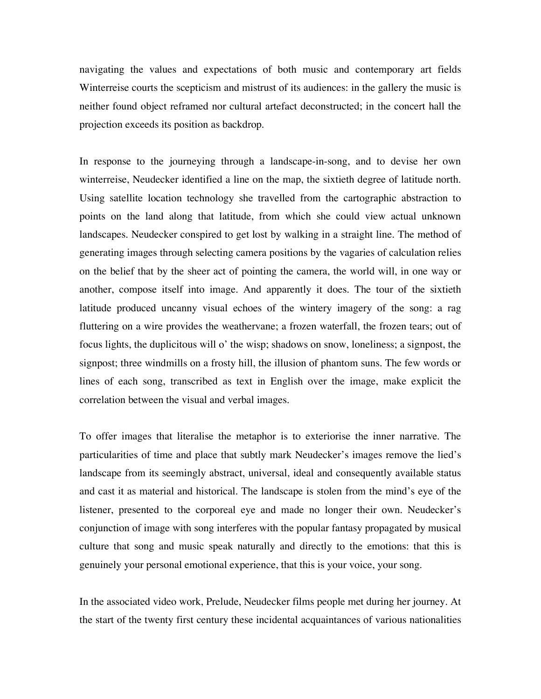navigating the values and expectations of both music and contemporary art fields Winterreise courts the scepticism and mistrust of its audiences: in the gallery the music is neither found object reframed nor cultural artefact deconstructed; in the concert hall the projection exceeds its position as backdrop.

In response to the journeying through a landscape-in-song, and to devise her own winterreise, Neudecker identified a line on the map, the sixtieth degree of latitude north. Using satellite location technology she travelled from the cartographic abstraction to points on the land along that latitude, from which she could view actual unknown landscapes. Neudecker conspired to get lost by walking in a straight line. The method of generating images through selecting camera positions by the vagaries of calculation relies on the belief that by the sheer act of pointing the camera, the world will, in one way or another, compose itself into image. And apparently it does. The tour of the sixtieth latitude produced uncanny visual echoes of the wintery imagery of the song: a rag fluttering on a wire provides the weathervane; a frozen waterfall, the frozen tears; out of focus lights, the duplicitous will o' the wisp; shadows on snow, loneliness; a signpost, the signpost; three windmills on a frosty hill, the illusion of phantom suns. The few words or lines of each song, transcribed as text in English over the image, make explicit the correlation between the visual and verbal images.

To offer images that literalise the metaphor is to exteriorise the inner narrative. The particularities of time and place that subtly mark Neudecker's images remove the lied's landscape from its seemingly abstract, universal, ideal and consequently available status and cast it as material and historical. The landscape is stolen from the mind's eye of the listener, presented to the corporeal eye and made no longer their own. Neudecker's conjunction of image with song interferes with the popular fantasy propagated by musical culture that song and music speak naturally and directly to the emotions: that this is genuinely your personal emotional experience, that this is your voice, your song.

In the associated video work, Prelude, Neudecker films people met during her journey. At the start of the twenty first century these incidental acquaintances of various nationalities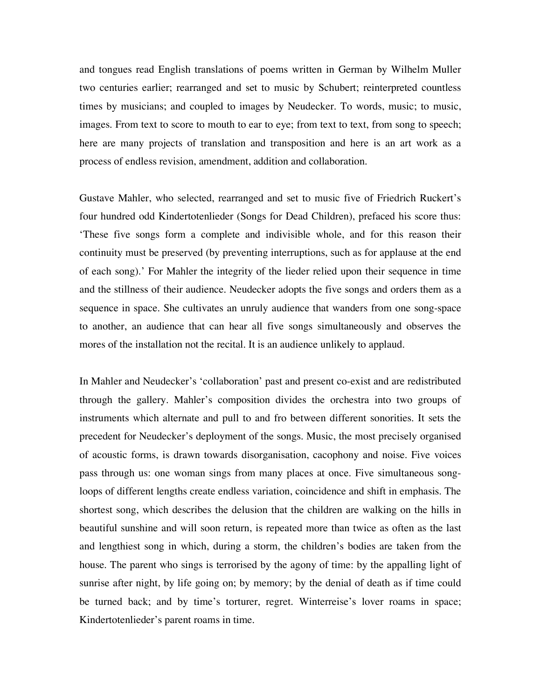and tongues read English translations of poems written in German by Wilhelm Muller two centuries earlier; rearranged and set to music by Schubert; reinterpreted countless times by musicians; and coupled to images by Neudecker. To words, music; to music, images. From text to score to mouth to ear to eye; from text to text, from song to speech; here are many projects of translation and transposition and here is an art work as a process of endless revision, amendment, addition and collaboration.

Gustave Mahler, who selected, rearranged and set to music five of Friedrich Ruckert's four hundred odd Kindertotenlieder (Songs for Dead Children), prefaced his score thus: 'These five songs form a complete and indivisible whole, and for this reason their continuity must be preserved (by preventing interruptions, such as for applause at the end of each song).' For Mahler the integrity of the lieder relied upon their sequence in time and the stillness of their audience. Neudecker adopts the five songs and orders them as a sequence in space. She cultivates an unruly audience that wanders from one song-space to another, an audience that can hear all five songs simultaneously and observes the mores of the installation not the recital. It is an audience unlikely to applaud.

In Mahler and Neudecker's 'collaboration' past and present co-exist and are redistributed through the gallery. Mahler's composition divides the orchestra into two groups of instruments which alternate and pull to and fro between different sonorities. It sets the precedent for Neudecker's deployment of the songs. Music, the most precisely organised of acoustic forms, is drawn towards disorganisation, cacophony and noise. Five voices pass through us: one woman sings from many places at once. Five simultaneous songloops of different lengths create endless variation, coincidence and shift in emphasis. The shortest song, which describes the delusion that the children are walking on the hills in beautiful sunshine and will soon return, is repeated more than twice as often as the last and lengthiest song in which, during a storm, the children's bodies are taken from the house. The parent who sings is terrorised by the agony of time: by the appalling light of sunrise after night, by life going on; by memory; by the denial of death as if time could be turned back; and by time's torturer, regret. Winterreise's lover roams in space; Kindertotenlieder's parent roams in time.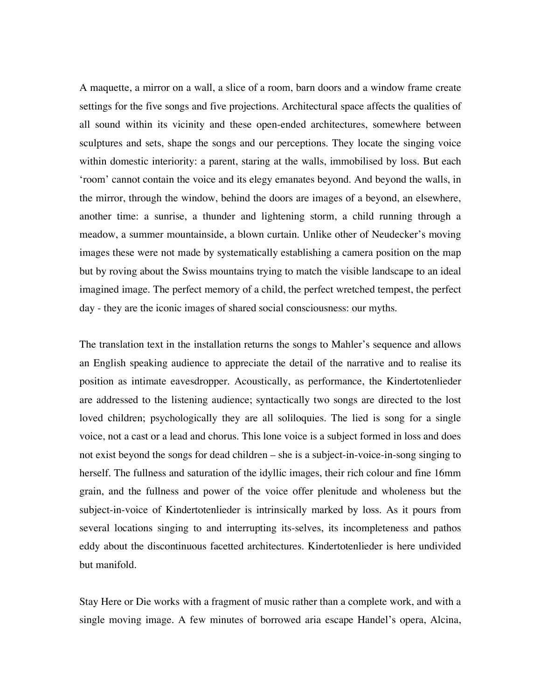A maquette, a mirror on a wall, a slice of a room, barn doors and a window frame create settings for the five songs and five projections. Architectural space affects the qualities of all sound within its vicinity and these open-ended architectures, somewhere between sculptures and sets, shape the songs and our perceptions. They locate the singing voice within domestic interiority: a parent, staring at the walls, immobilised by loss. But each 'room' cannot contain the voice and its elegy emanates beyond. And beyond the walls, in the mirror, through the window, behind the doors are images of a beyond, an elsewhere, another time: a sunrise, a thunder and lightening storm, a child running through a meadow, a summer mountainside, a blown curtain. Unlike other of Neudecker's moving images these were not made by systematically establishing a camera position on the map but by roving about the Swiss mountains trying to match the visible landscape to an ideal imagined image. The perfect memory of a child, the perfect wretched tempest, the perfect day - they are the iconic images of shared social consciousness: our myths.

The translation text in the installation returns the songs to Mahler's sequence and allows an English speaking audience to appreciate the detail of the narrative and to realise its position as intimate eavesdropper. Acoustically, as performance, the Kindertotenlieder are addressed to the listening audience; syntactically two songs are directed to the lost loved children; psychologically they are all soliloquies. The lied is song for a single voice, not a cast or a lead and chorus. This lone voice is a subject formed in loss and does not exist beyond the songs for dead children – she is a subject-in-voice-in-song singing to herself. The fullness and saturation of the idyllic images, their rich colour and fine 16mm grain, and the fullness and power of the voice offer plenitude and wholeness but the subject-in-voice of Kindertotenlieder is intrinsically marked by loss. As it pours from several locations singing to and interrupting its-selves, its incompleteness and pathos eddy about the discontinuous facetted architectures. Kindertotenlieder is here undivided but manifold.

Stay Here or Die works with a fragment of music rather than a complete work, and with a single moving image. A few minutes of borrowed aria escape Handel's opera, Alcina,